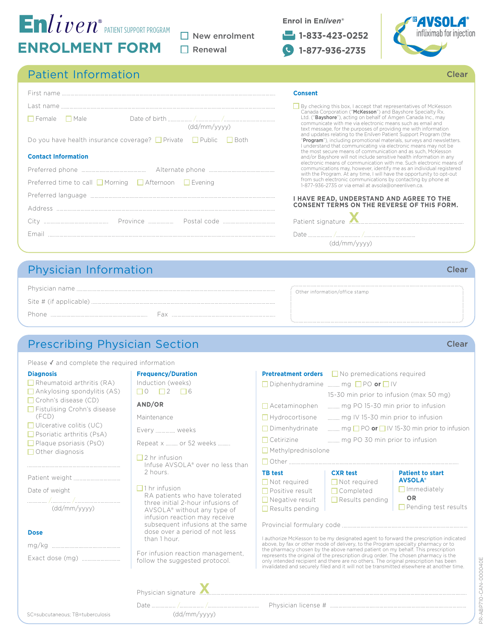# **ENROLMENT FORM**  $\mathsf{E}$ n $live_{\mathcal{V}}$ eatient support program

 $\Box$  New enrolment  $\Box$  Renewal

|  | Enrol in Enliven <sup>®</sup> |
|--|-------------------------------|
|  |                               |

**Consent**

**1-833-423-0252 1-877-936-2735**



Clear

### Patient Information

| $\Box$ Female $\Box$ Male<br>(dd/mm/vvvv)                                       |  |  |  |  |
|---------------------------------------------------------------------------------|--|--|--|--|
| Do you have health insurance coverage? $\Box$ Private $\Box$ Public $\Box$ Both |  |  |  |  |
| <b>Contact Information</b>                                                      |  |  |  |  |
|                                                                                 |  |  |  |  |
| Preferred time to call $\Box$ Morning $\Box$ Afternoon $\Box$ Evening           |  |  |  |  |
|                                                                                 |  |  |  |  |
|                                                                                 |  |  |  |  |
|                                                                                 |  |  |  |  |
|                                                                                 |  |  |  |  |
|                                                                                 |  |  |  |  |

### By checking this box, I accept that representatives of McKesson<br>Canada Corporation ("**McKesson**") and Bayshore Specialty Rx.<br>Ltd. ("**Bayshore**"), acting on behalf of Amgen Canada Inc., may<br>communicate with me via electroni "Program"), including promotional materials, surveys and newsletters. I understand that communicating via electronic means may not be the most secure means of communication and as such, McKesson and/or Bayshore will not include sensitive health information in any electronic means of communication with me. Such electronic means of communications may, however, identify me as an individual registered with the Program. At any time, I will have the opportunity to opt-out from such electronic communications by contacting by phone at 1-877-936-2735 or via email at avsola@oneenliven.ca. **I HAVE READ, UNDERSTAND AND AGREE TO THE CONSENT TERMS ON THE REVERSE OF THIS FORM.**

Patient signature Date / / (dd/mm/yyyy)

## Physician Information

|       | : Other information/office stamp |
|-------|----------------------------------|
|       |                                  |
| Phone |                                  |

# Prescribing Physician Section

Please  $\checkmark$  and complete the required

### **Diagnosis**

- $\Box$  Rheumatoid arthritis (RA)
- Ankylosing spondylitis (AS)
- □ Crohn's disease (CD) □ Fistulising Crohn's disease
- (FCD)
- $\Box$  Ulcerative colitis (UC)
- $\Box$  Psoriatic arthritis (PsA)
- Plaque psoriasis (PsO)
- $\Box$  Other diagnosis

Patient weight

Date of weight

/ / (dd/mm/yyyy)

### **Dose**

mg/kg Exact dose (mg)

| d information             |
|---------------------------|
| <b>Frequency/Duration</b> |
| Induction (weeks)         |
|                           |
| AND/OR                    |
| Maintenance               |
|                           |

Every .............. weeks

- Repeat x ......... or 52 weeks .........
- $\Box$  2 hr infusion Infuse AVSOLA® over no less than 2 hours.
- $\Box$ 1 hr infusion RA patients who have tolerated three initial 2-hour infusions of AVSOLA® without any type of infusion reaction may receive subsequent infusions at the same dose over a period of not less than 1 hour.

For infusion reaction management, follow the suggested protocol.

(dd/mm/yyyy)

Physician signature

| <b>Pretreatment orders</b><br>Diphenhydramine<br>$\Box$ Acetaminophen<br>$\Box$ Hydrocortisone<br>Dimenhydrinate | $\Box$ No premedications required<br>$\ldots$ mg $\Box$ PO or $\Box$ IV<br>15-30 min prior to infusion (max 50 mg)<br>mg PO 15-30 min prior to infusion<br>mg IV 15-30 min prior to infusion | mg $\Box$ PO <b>or</b> $\Box$ IV 15-30 min prior to infusion                           |
|------------------------------------------------------------------------------------------------------------------|----------------------------------------------------------------------------------------------------------------------------------------------------------------------------------------------|----------------------------------------------------------------------------------------|
| Cetirizine<br>$\Box$ Methylprednisolone                                                                          | mg PO 30 min prior to infusion                                                                                                                                                               |                                                                                        |
| <b>TB</b> test<br>Not required<br>Positive result<br>$\Box$ Negative result<br>$\Box$ Results pending            | <b>CXR</b> test<br>$\Box$ Not required<br>$\Box$ Completed<br>$\Box$ Results pending                                                                                                         | <b>Patient to start</b><br><b>AVSOLA®</b><br>Immediately<br>OR<br>Pending test results |
| represents the original of the prescription drug order. The chosen pharmacy is the                               | above, by fax or other mode of delivery, to the Program specialty pharmacy or to<br>the pharmacy chosen by the above named patient on my behalf. This prescription                           | I authorize McKesson to be my designated agent to forward the prescription indicated   |

represents the original of the prescription drug order. The chosen pharmacy is the only intended recipient and there are no others. The original prescription has been invalidated and securely filed and it will not be transmitted elsewhere at another time.

Clear

Date / / Physician license #

Clear